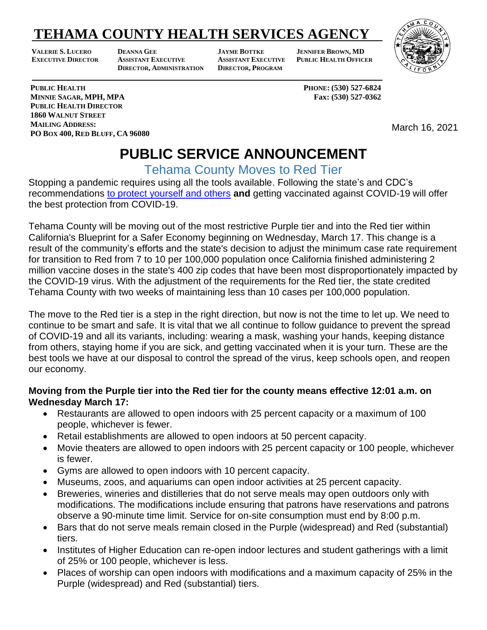## **TEHAMA COUNTY HEALTH SERVICES AGENCY**

**VALERIE S. LUCERO DEANNA GEE JAYME BOTTKE JENNIFER BROWN, MD EXECUTIVE DIRECTOR ASSISTANT EXECUTIVE ASSISTANT EXECUTIVE PUBLIC HEALTH OFFICER DIRECTOR, ADMINISTRATION DIRECTOR, PROGRAM**



**PUBLIC HEALTH PHONE: (530) 527-6824**

March 16, 2021

### **PUBLIC SERVICE ANNOUNCEMENT**

Tehama County Moves to Red Tier

Stopping a pandemic requires using all the tools available. Following the state's and CDC's recommendations [to protect yourself and others](https://www.cdc.gov/coronavirus/2019-ncov/prevent-getting-sick/prevention.html) **and** getting vaccinated against COVID-19 will offer the best protection from COVID-19.

Tehama County will be moving out of the most restrictive Purple tier and into the Red tier within California's Blueprint for a Safer Economy beginning on Wednesday, March 17. This change is a result of the community's efforts and the state's decision to adjust the minimum case rate requirement for transition to Red from 7 to 10 per 100,000 population once California finished administering 2 million vaccine doses in the state's 400 zip codes that have been most disproportionately impacted by the COVID-19 virus. With the adjustment of the requirements for the Red tier, the state credited Tehama County with two weeks of maintaining less than 10 cases per 100,000 population.

The move to the Red tier is a step in the right direction, but now is not the time to let up. We need to continue to be smart and safe. It is vital that we all continue to follow guidance to prevent the spread of COVID-19 and all its variants, including: wearing a mask, washing your hands, keeping distance from others, staying home if you are sick, and getting vaccinated when it is your turn. These are the best tools we have at our disposal to control the spread of the virus, keep schools open, and reopen our economy.

#### **Moving from the Purple tier into the Red tier for the county means effective 12:01 a.m. on Wednesday March 17:**

- Restaurants are allowed to open indoors with 25 percent capacity or a maximum of 100 people, whichever is fewer.
- Retail establishments are allowed to open indoors at 50 percent capacity.
- Movie theaters are allowed to open indoors with 25 percent capacity or 100 people, whichever is fewer.
- Gyms are allowed to open indoors with 10 percent capacity.
- Museums, zoos, and aquariums can open indoor activities at 25 percent capacity.
- Breweries, wineries and distilleries that do not serve meals may open outdoors only with modifications. The modifications include ensuring that patrons have reservations and patrons observe a 90-minute time limit. Service for on-site consumption must end by 8:00 p.m.
- Bars that do not serve meals remain closed in the Purple (widespread) and Red (substantial) tiers.
- Institutes of Higher Education can re-open indoor lectures and student gatherings with a limit of 25% or 100 people, whichever is less.
- Places of worship can open indoors with modifications and a maximum capacity of 25% in the Purple (widespread) and Red (substantial) tiers.

**MINNIE SAGAR, MPH, MPA Fax: (530) 527-0362 PUBLIC HEALTH DIRECTOR 1860 WALNUT STREET MAILING ADDRESS: PO BOX 400, RED BLUFF, CA 96080**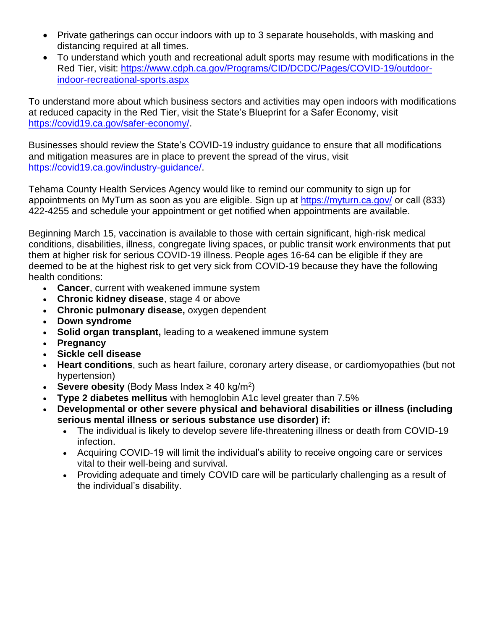- Private gatherings can occur indoors with up to 3 separate households, with masking and distancing required at all times.
- To understand which youth and recreational adult sports may resume with modifications in the Red Tier, visit: [https://www.cdph.ca.gov/Programs/CID/DCDC/Pages/COVID-19/outdoor](https://www.cdph.ca.gov/Programs/CID/DCDC/Pages/COVID-19/outdoor-indoor-recreational-sports.aspx)[indoor-recreational-sports.aspx](https://www.cdph.ca.gov/Programs/CID/DCDC/Pages/COVID-19/outdoor-indoor-recreational-sports.aspx)

To understand more about which business sectors and activities may open indoors with modifications at reduced capacity in the Red Tier, visit the State's Blueprint for a Safer Economy, visit [https://covid19.ca.gov/safer-economy/.](https://covid19.ca.gov/safer-economy/)

Businesses should review the State's COVID-19 industry guidance to ensure that all modifications and mitigation measures are in place to prevent the spread of the virus, visit [https://covid19.ca.gov/industry-guidance/.](https://covid19.ca.gov/industry-guidance/)

Tehama County Health Services Agency would like to remind our community to sign up for appointments on MyTurn as soon as you are eligible. Sign up at<https://myturn.ca.gov/> or call (833) 422-4255 and schedule your appointment or get notified when appointments are available.

Beginning March 15, vaccination is available to those with certain significant, high-risk medical conditions, disabilities, illness, congregate living spaces, or public transit work environments that put them at higher risk for serious COVID-19 illness. People ages 16-64 can be eligible if they are deemed to be at the highest risk to get very sick from COVID-19 because they have the following health conditions:

- **Cancer**, current with weakened immune system
- **Chronic kidney disease**, stage 4 or above
- **Chronic pulmonary disease,** oxygen dependent
- **Down syndrome**
- **Solid organ transplant,** leading to a weakened immune system
- **Pregnancy**
- **Sickle cell disease**
- **Heart conditions**, such as heart failure, coronary artery disease, or cardiomyopathies (but not hypertension)
- **Severe obesity** (Body Mass Index  $\geq 40$  kg/m<sup>2</sup>)
- **Type 2 diabetes mellitus** with hemoglobin A1c level greater than 7.5%
- **Developmental or other severe physical and behavioral disabilities or illness (including serious mental illness or serious substance use disorder) if:**
	- The individual is likely to develop severe life-threatening illness or death from COVID-19 infection.
	- Acquiring COVID-19 will limit the individual's ability to receive ongoing care or services vital to their well-being and survival.
	- Providing adequate and timely COVID care will be particularly challenging as a result of the individual's disability.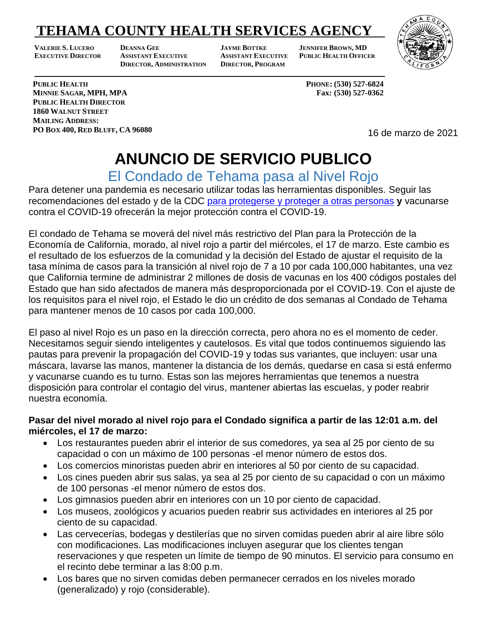### **TEHAMA COUNTY HEALTH SERVICES AGENCY**

**VALERIE S. LUCERO DEANNA GEE JAYME BOTTKE JENNIFER BROWN, MD EXECUTIVE DIRECTOR ASSISTANT EXECUTIVE ASSISTANT EXECUTIVE PUBLIC HEALTH OFFICER DIRECTOR, ADMINISTRATION DIRECTOR, PROGRAM**

**JAYME BOTTKE** 



**PUBLIC HEALTH PHONE**: (530) 527-6824 **MINNIE SAGAR, MPH, MPA Fax: (530) 527-0362 PUBLIC HEALTH DIRECTOR 1860 WALNUT STREET MAILING ADDRESS: PO BOX 400, RED BLUFF, CA 96080**

16 de marzo de 2021

# **ANUNCIO DE SERVICIO PUBLICO**

El Condado de Tehama pasa al Nivel Rojo

Para detener una pandemia es necesario utilizar todas las herramientas disponibles. Seguir las recomendaciones del estado y de la CDC para protegerse y [proteger a otras personas](https://espanol.cdc.gov/coronavirus/2019-ncov/prevent-getting-sick/prevention.html) **y** vacunarse contra el COVID-19 ofrecerán la mejor protección contra el COVID-19.

El condado de Tehama se moverá del nivel más restrictivo del Plan para la Protección de la Economía de California, morado, al nivel rojo a partir del miércoles, el 17 de marzo. Este cambio es el resultado de los esfuerzos de la comunidad y la decisión del Estado de ajustar el requisito de la tasa mínima de casos para la transición al nivel rojo de 7 a 10 por cada 100,000 habitantes, una vez que California termine de administrar 2 millones de dosis de vacunas en los 400 códigos postales del Estado que han sido afectados de manera más desproporcionada por el COVID-19. Con el ajuste de los requisitos para el nivel rojo, el Estado le dio un crédito de dos semanas al Condado de Tehama para mantener menos de 10 casos por cada 100,000.

El paso al nivel Rojo es un paso en la dirección correcta, pero ahora no es el momento de ceder. Necesitamos seguir siendo inteligentes y cautelosos. Es vital que todos continuemos siguiendo las pautas para prevenir la propagación del COVID-19 y todas sus variantes, que incluyen: usar una máscara, lavarse las manos, mantener la distancia de los demás, quedarse en casa si está enfermo y vacunarse cuando es tu turno. Estas son las mejores herramientas que tenemos a nuestra disposición para controlar el contagio del virus, mantener abiertas las escuelas, y poder reabrir nuestra economía.

#### **Pasar del nivel morado al nivel rojo para el Condado significa a partir de las 12:01 a.m. del miércoles, el 17 de marzo:**

- Los restaurantes pueden abrir el interior de sus comedores, ya sea al 25 por ciento de su capacidad o con un máximo de 100 personas -el menor número de estos dos.
- Los comercios minoristas pueden abrir en interiores al 50 por ciento de su capacidad.
- Los cines pueden abrir sus salas, ya sea al 25 por ciento de su capacidad o con un máximo de 100 personas -el menor número de estos dos.
- Los gimnasios pueden abrir en interiores con un 10 por ciento de capacidad.
- Los museos, zoológicos y acuarios pueden reabrir sus actividades en interiores al 25 por ciento de su capacidad.
- Las cervecerías, bodegas y destilerías que no sirven comidas pueden abrir al aire libre sólo con modificaciones. Las modificaciones incluyen asegurar que los clientes tengan reservaciones y que respeten un límite de tiempo de 90 minutos. El servicio para consumo en el recinto debe terminar a las 8:00 p.m.
- Los bares que no sirven comidas deben permanecer cerrados en los niveles morado (generalizado) y rojo (considerable).